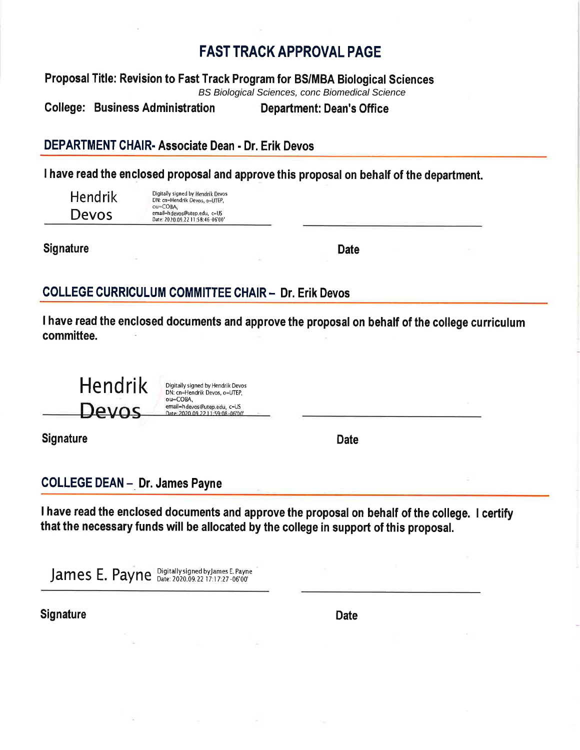# **FAST TRACK APPROVAL PAGE**

Proposal Title: Revision to Fast Track Program for BS/MBA Biological Sciences **BS Biological Sciences, conc Biomedical Science** 

**College: Business Administration Department: Dean's Office** 

# DEPARTMENT CHAIR- Associate Dean - Dr. Erik Devos

I have read the enclosed proposal and approve this proposal on behalf of the department.

|  | Hendrik |  |
|--|---------|--|
|  | Devos   |  |

Digitally signed by Hendrik Devos<br>DN: cn=Hendrik Devos, o=UTEP, ou=COBA, email=hdevos@utep.edu, c=US Date: 2020.09.22 11:58:46 -06'00'

**Signature** 

**Date** 

## **COLLEGE CURRICULUM COMMITTEE CHAIR - Dr. Erik Devos**

I have read the enclosed documents and approve the proposal on behalf of the college curriculum committee.

**Hendrik** Digitally signed by Hendrik Devos DN: cn=Hendrik Devos, o=UTEP, ou=COBA, email=hdevos@utep.edu, c=US Devos ate: 2020 09 22 11:59:08

**Signature** 

**Date** 

**COLLEGE DEAN - Dr. James Payne** 

I have read the enclosed documents and approve the proposal on behalf of the college. I certify that the necessary funds will be allocated by the college in support of this proposal.

James E. Payne Digitally signed by James E. Payne

**Signature** 

**Date**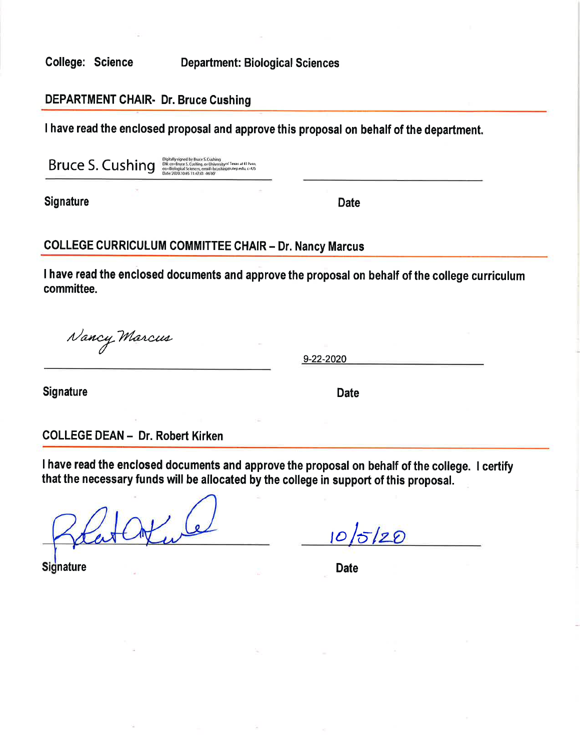**College: Science** 

**Department: Biological Sciences** 

### **DEPARTMENT CHAIR- Dr. Bruce Cushing**

I have read the enclosed proposal and approve this proposal on behalf of the department.

Bruce S. Cushing

Digitally signed by Bruce S. Cushing<br>DN: cm-Rinxe S. Cushing, or University of Texas at El Paso<br>ou=Biological Sciences, email chrushing@utep.edu, c=US<br>Date: 2020.10.05 11:47:01-06:00'

**Signature** 

**Date** 

### **COLLEGE CURRICULUM COMMITTEE CHAIR - Dr. Nancy Marcus**

I have read the enclosed documents and approve the proposal on behalf of the college curriculum committee.

Nancy Marcus

9-22-2020

Signature

**Date** 

**COLLEGE DEAN - Dr. Robert Kirken** 

I have read the enclosed documents and approve the proposal on behalf of the college. I certify that the necessary funds will be allocated by the college in support of this proposal.

 $10/5/20$ 

**Signature** 

**Date**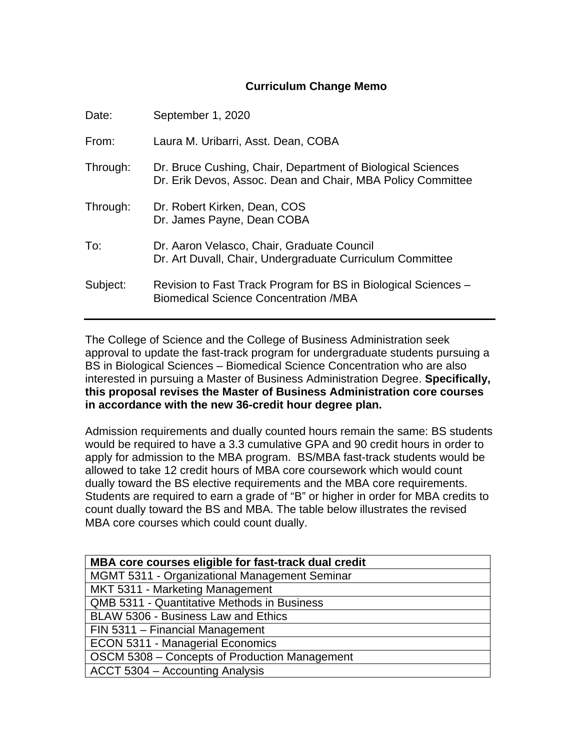#### **Curriculum Change Memo**

| Date:    | September 1, 2020                                                                                                          |
|----------|----------------------------------------------------------------------------------------------------------------------------|
| From:    | Laura M. Uribarri, Asst. Dean, COBA                                                                                        |
| Through: | Dr. Bruce Cushing, Chair, Department of Biological Sciences<br>Dr. Erik Devos, Assoc. Dean and Chair, MBA Policy Committee |
| Through: | Dr. Robert Kirken, Dean, COS<br>Dr. James Payne, Dean COBA                                                                 |
| To:      | Dr. Aaron Velasco, Chair, Graduate Council<br>Dr. Art Duvall, Chair, Undergraduate Curriculum Committee                    |
| Subject: | Revision to Fast Track Program for BS in Biological Sciences –<br><b>Biomedical Science Concentration /MBA</b>             |

The College of Science and the College of Business Administration seek approval to update the fast-track program for undergraduate students pursuing a BS in Biological Sciences – Biomedical Science Concentration who are also interested in pursuing a Master of Business Administration Degree. **Specifically, this proposal revises the Master of Business Administration core courses in accordance with the new 36-credit hour degree plan.**

Admission requirements and dually counted hours remain the same: BS students would be required to have a 3.3 cumulative GPA and 90 credit hours in order to apply for admission to the MBA program. BS/MBA fast-track students would be allowed to take 12 credit hours of MBA core coursework which would count dually toward the BS elective requirements and the MBA core requirements. Students are required to earn a grade of "B" or higher in order for MBA credits to count dually toward the BS and MBA. The table below illustrates the revised MBA core courses which could count dually.

| MBA core courses eligible for fast-track dual credit |  |  |  |
|------------------------------------------------------|--|--|--|
| <b>MGMT 5311 - Organizational Management Seminar</b> |  |  |  |
| MKT 5311 - Marketing Management                      |  |  |  |
| <b>QMB 5311 - Quantitative Methods in Business</b>   |  |  |  |
| BLAW 5306 - Business Law and Ethics                  |  |  |  |
| FIN 5311 - Financial Management                      |  |  |  |
| <b>ECON 5311 - Managerial Economics</b>              |  |  |  |
| OSCM 5308 - Concepts of Production Management        |  |  |  |
| ACCT 5304 – Accounting Analysis                      |  |  |  |